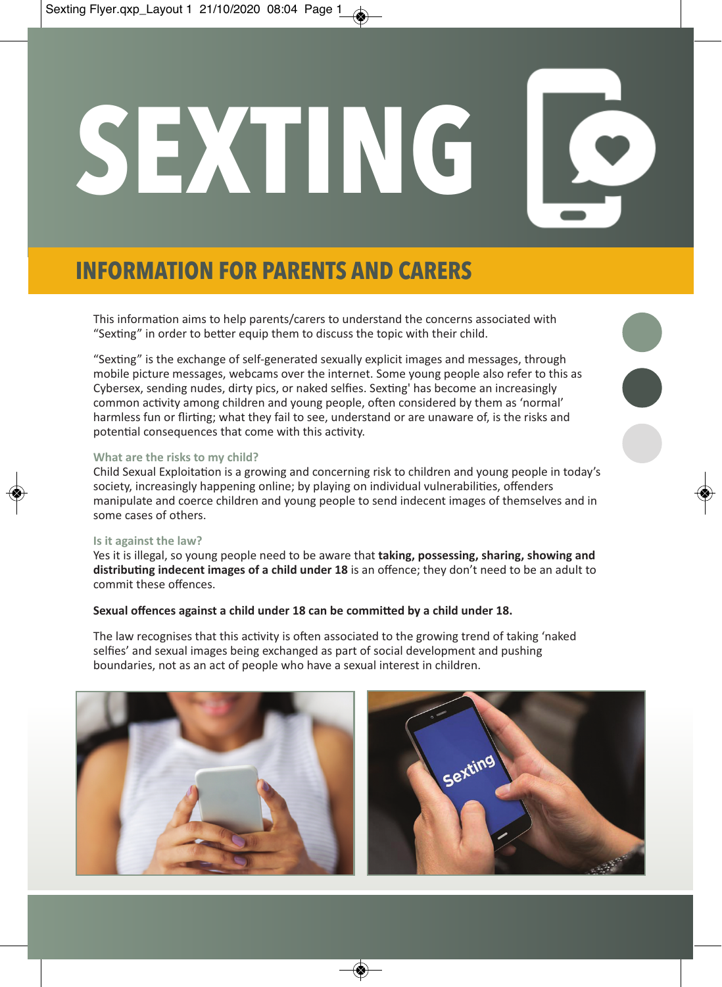# **SEXTING**

# **INFORMATION FOR PARENTS AND CARERS**

This information aims to help parents/carers to understand the concerns associated with "Sexting" in order to better equip them to discuss the topic with their child.

"Sexting" is the exchange of self-generated sexually explicit images and messages, through mobile picture messages, webcams over the internet. Some young people also refer to this as Cybersex, sending nudes, dirty pics, or naked selfies. Sexting' has become an increasingly common activity among children and young people, often considered by them as 'normal' harmless fun or flirting; what they fail to see, understand or are unaware of, is the risks and potential consequences that come with this activity.

L

# **What are the risks to my child?**

Child Sexual Exploitation is a growing and concerning risk to children and young people in today's society, increasingly happening online; by playing on individual vulnerabilities, offenders manipulate and coerce children and young people to send indecent images of themselves and in some cases of others.

### **Is it against the law?**

Yes it is illegal, so young people need to be aware that **taking, possessing, sharing, showing and distributing indecent images of a child under 18** is an offence; they don't need to be an adult to commit these offences.

# **Sexual offences against a child under 18 can be committed by a child under 18.**

The law recognises that this activity is often associated to the growing trend of taking 'naked selfies' and sexual images being exchanged as part of social development and pushing boundaries, not as an act of people who have a sexual interest in children.